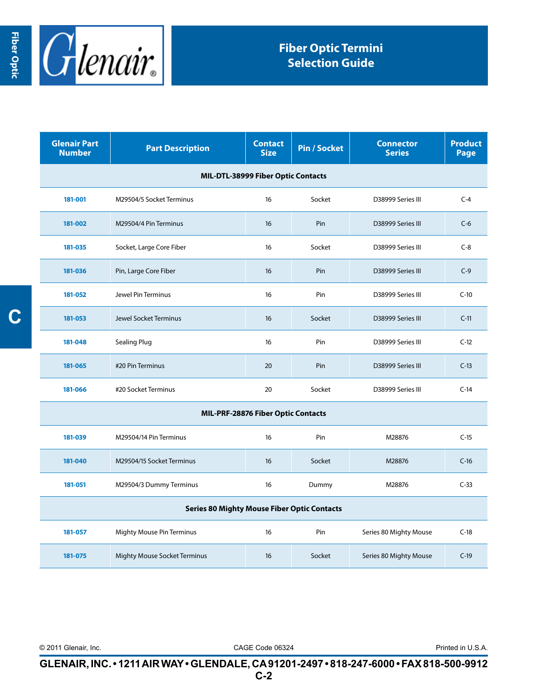

| <b>Glenair Part</b><br><b>Number</b>               | <b>Part Description</b>             | <b>Contact</b><br><b>Size</b> | <b>Pin / Socket</b> | <b>Connector</b><br><b>Series</b> | <b>Product</b><br>Page |  |  |  |
|----------------------------------------------------|-------------------------------------|-------------------------------|---------------------|-----------------------------------|------------------------|--|--|--|
| MIL-DTL-38999 Fiber Optic Contacts                 |                                     |                               |                     |                                   |                        |  |  |  |
| 181-001                                            | M29504/5 Socket Terminus            | 16                            | Socket              | D38999 Series III                 | $C-4$                  |  |  |  |
| 181-002                                            | M29504/4 Pin Terminus               | 16                            | Pin                 | D38999 Series III                 | $C-6$                  |  |  |  |
| 181-035                                            | Socket, Large Core Fiber            | 16                            | Socket              | D38999 Series III                 | $C-8$                  |  |  |  |
| 181-036                                            | Pin, Large Core Fiber               | 16                            | Pin                 | D38999 Series III                 | $C-9$                  |  |  |  |
| 181-052                                            | Jewel Pin Terminus                  | 16                            | Pin                 | D38999 Series III                 | $C-10$                 |  |  |  |
| 181-053                                            | Jewel Socket Terminus               | 16                            | Socket              | D38999 Series III                 | $C-11$                 |  |  |  |
| 181-048                                            | <b>Sealing Plug</b>                 | 16                            | Pin                 | D38999 Series III                 | $C-12$                 |  |  |  |
| 181-065                                            | #20 Pin Terminus                    | 20                            | Pin                 | D38999 Series III                 | $C-13$                 |  |  |  |
| 181-066                                            | #20 Socket Terminus                 | 20                            | Socket              | D38999 Series III                 | $C-14$                 |  |  |  |
| MIL-PRF-28876 Fiber Optic Contacts                 |                                     |                               |                     |                                   |                        |  |  |  |
| 181-039                                            | M29504/14 Pin Terminus              | 16                            | Pin                 | M28876                            | $C-15$                 |  |  |  |
| 181-040                                            | M29504/15 Socket Terminus           | 16                            | Socket              | M28876                            | $C-16$                 |  |  |  |
| 181-051                                            | M29504/3 Dummy Terminus             | 16                            | Dummy               | M28876                            | $C-33$                 |  |  |  |
| <b>Series 80 Mighty Mouse Fiber Optic Contacts</b> |                                     |                               |                     |                                   |                        |  |  |  |
| 181-057                                            | Mighty Mouse Pin Terminus           | 16                            | Pin                 | Series 80 Mighty Mouse            | $C-18$                 |  |  |  |
| 181-075                                            | <b>Mighty Mouse Socket Terminus</b> | 16                            | Socket              | Series 80 Mighty Mouse            | $C-19$                 |  |  |  |